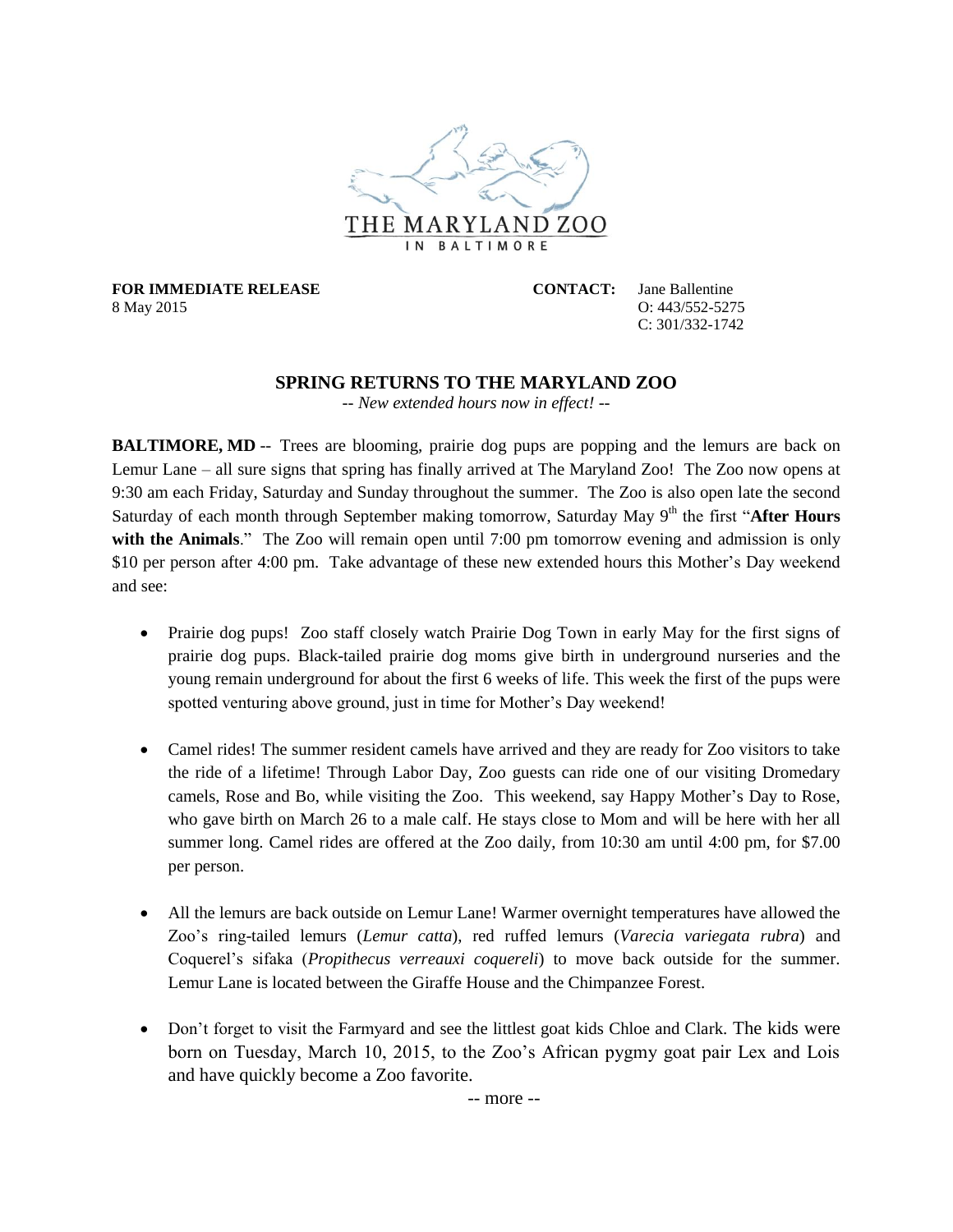

**FOR IMMEDIATE RELEASE** 8 May 2015

**CONTACT:** Jane Ballentine O: 443/552-5275 C: 301/332-1742

## **SPRING RETURNS TO THE MARYLAND ZOO**

*-- New extended hours now in effect! --*

**BALTIMORE, MD** -- Trees are blooming, prairie dog pups are popping and the lemurs are back on Lemur Lane – all sure signs that spring has finally arrived at The Maryland Zoo! The Zoo now opens at 9:30 am each Friday, Saturday and Sunday throughout the summer. The Zoo is also open late the second Saturday of each month through September making tomorrow, Saturday May 9<sup>th</sup> the first "After Hours with the Animals." The Zoo will remain open until 7:00 pm tomorrow evening and admission is only \$10 per person after 4:00 pm. Take advantage of these new extended hours this Mother's Day weekend and see:

- Prairie dog pups! Zoo staff closely watch Prairie Dog Town in early May for the first signs of prairie dog pups. Black-tailed prairie dog moms give birth in underground nurseries and the young remain underground for about the first 6 weeks of life. This week the first of the pups were spotted venturing above ground, just in time for Mother's Day weekend!
- Camel rides! The summer resident camels have arrived and they are ready for Zoo visitors to take the ride of a lifetime! Through Labor Day, Zoo guests can ride one of our visiting Dromedary camels, Rose and Bo, while visiting the Zoo. This weekend, say Happy Mother's Day to Rose, who gave birth on March 26 to a male calf. He stays close to Mom and will be here with her all summer long. Camel rides are offered at the Zoo daily, from 10:30 am until 4:00 pm, for \$7.00 per person.
- All the lemurs are back outside on Lemur Lane! Warmer overnight temperatures have allowed the Zoo's ring-tailed lemurs (*Lemur catta*), red ruffed lemurs (*Varecia variegata rubra*) and Coquerel's sifaka (*Propithecus verreauxi coquereli*) to move back outside for the summer. Lemur Lane is located between the Giraffe House and the Chimpanzee Forest.
- Don't forget to visit the Farmyard and see the littlest goat kids Chloe and Clark. The kids were born on Tuesday, March 10, 2015, to the Zoo's African pygmy goat pair Lex and Lois and have quickly become a Zoo favorite.

-- more --